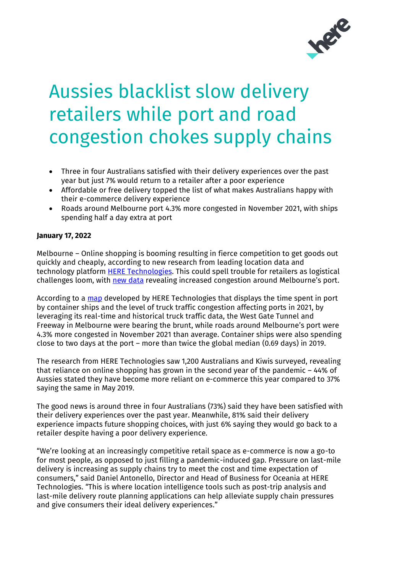

# Aussies blacklist slow delivery retailers while port and road congestion chokes supply chains

- Three in four Australians satisfied with their delivery experiences over the past year but just 7% would return to a retailer after a poor experience
- Affordable or free delivery topped the list of what makes Australians happy with their e-commerce delivery experience
- Roads around Melbourne port 4.3% more congested in November 2021, with ships spending half a day extra at port

## **January 17, 2022**

Melbourne – Online shopping is booming resulting in fierce competition to get goods out quickly and cheaply, according to new research from leading location data and technology platform **HERE Technologies**. This could spell trouble for retailers as logistical challenges loom, with [new data](https://app.developer.here.com/supply-chain-meltdown-bottlenecks-port-truck-traffic/) revealing increased congestion around Melbourne's port.

According to a [map](https://app.developer.here.com/supply-chain-meltdown-bottlenecks-port-truck-traffic/) developed by HERE Technologies that displays the time spent in port by container ships and the level of truck traffic congestion affecting ports in 2021, by leveraging its real-time and historical truck traffic data, the West Gate Tunnel and Freeway in Melbourne were bearing the brunt, while roads around Melbourne's port were 4.3% more congested in November 2021 than average. Container ships were also spending close to two days at the port – more than twice the global median (0.69 days) in 2019.

The research from HERE Technologies saw 1,200 Australians and Kiwis surveyed, revealing that reliance on online shopping has grown in the second year of the pandemic – 44% of Aussies stated they have become more reliant on e-commerce this year compared to 37% saying the same in May 2019.

The good news is around three in four Australians (73%) said they have been satisfied with their delivery experiences over the past year. Meanwhile, 81% said their delivery experience impacts future shopping choices, with just 6% saying they would go back to a retailer despite having a poor delivery experience.

"We're looking at an increasingly competitive retail space as e-commerce is now a go-to for most people, as opposed to just filling a pandemic-induced gap. Pressure on last-mile delivery is increasing as supply chains try to meet the cost and time expectation of consumers," said Daniel Antonello, Director and Head of Business for Oceania at HERE Technologies. "This is where location intelligence tools such as post-trip analysis and last-mile delivery route planning applications can help alleviate supply chain pressures and give consumers their ideal delivery experiences."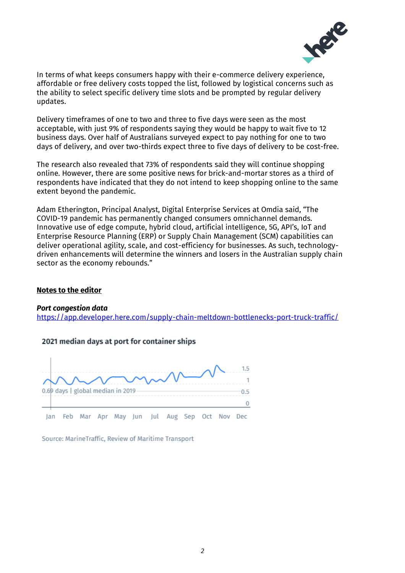

In terms of what keeps consumers happy with their e-commerce delivery experience, affordable or free delivery costs topped the list, followed by logistical concerns such as the ability to select specific delivery time slots and be prompted by regular delivery updates.

Delivery timeframes of one to two and three to five days were seen as the most acceptable, with just 9% of respondents saying they would be happy to wait five to 12 business days. Over half of Australians surveyed expect to pay nothing for one to two days of delivery, and over two-thirds expect three to five days of delivery to be cost-free.

The research also revealed that 73% of respondents said they will continue shopping online. However, there are some positive news for brick-and-mortar stores as a third of respondents have indicated that they do not intend to keep shopping online to the same extent beyond the pandemic.

Adam Etherington, Principal Analyst, Digital Enterprise Services at Omdia said, "The COVID-19 pandemic has permanently changed consumers omnichannel demands. Innovative use of edge compute, hybrid cloud, artificial intelligence, 5G, API's, IoT and Enterprise Resource Planning (ERP) or Supply Chain Management (SCM) capabilities can deliver operational agility, scale, and cost-efficiency for businesses. As such, technologydriven enhancements will determine the winners and losers in the Australian supply chain sector as the economy rebounds."

#### **Notes to the editor**

#### *Port congestion data*

<https://app.developer.here.com/supply-chain-meltdown-bottlenecks-port-truck-traffic/>

#### 2021 median days at port for container ships



Source: MarineTraffic, Review of Maritime Transport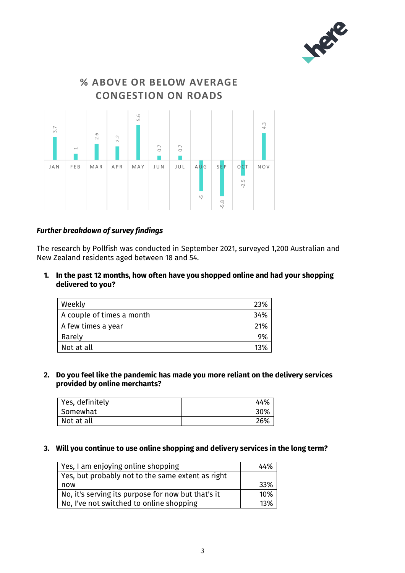



# *Further breakdown of survey findings*

The research by Pollfish was conducted in September 2021, surveyed 1,200 Australian and New Zealand residents aged between 18 and 54.

**1. In the past 12 months, how often have you shopped online and had your shopping delivered to you?**

| Weekly                    | 23% |
|---------------------------|-----|
| A couple of times a month | 34% |
| A few times a year        | 21% |
| Rarely                    | 9%  |
| Not at all                | 13% |

**2. Do you feel like the pandemic has made you more reliant on the delivery services provided by online merchants?**

| Yes, definitely | 44% |
|-----------------|-----|
| Somewhat        | 30% |
| Not at all      | 26% |

#### **3. Will you continue to use online shopping and delivery services in the long term?**

| Yes, I am enjoying online shopping                 | 44% |
|----------------------------------------------------|-----|
| Yes, but probably not to the same extent as right  |     |
| now                                                | 33% |
| No, it's serving its purpose for now but that's it | 10% |
| No, I've not switched to online shopping           | 13% |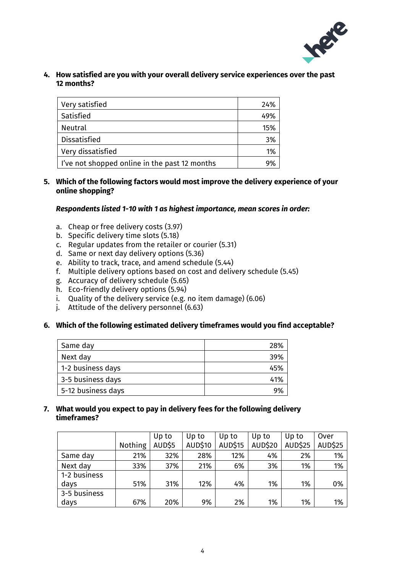

**4. How satisfied are you with your overall delivery service experiences over the past 12 months?**

| Very satisfied                                | 24% |
|-----------------------------------------------|-----|
| Satisfied                                     | 49% |
| <b>Neutral</b>                                | 15% |
| <b>Dissatisfied</b>                           | 3%  |
| Very dissatisfied                             | 1%  |
| I've not shopped online in the past 12 months |     |

**5. Which of the following factors would most improve the delivery experience of your online shopping?**

#### *Respondents listed 1-10 with 1 as highest importance, mean scores in order:*

- a. Cheap or free delivery costs (3.97)
- b. Specific delivery time slots (5.18)
- c. Regular updates from the retailer or courier (5.31)
- d. Same or next day delivery options (5.36)
- e. Ability to track, trace, and amend schedule (5.44)
- f. Multiple delivery options based on cost and delivery schedule (5.45)
- g. Accuracy of delivery schedule (5.65)
- h. Eco-friendly delivery options (5.94)
- i. Quality of the delivery service (e.g. no item damage) (6.06)
- j. Attitude of the delivery personnel (6.63)
- **6. Which of the following estimated delivery timeframes would you find acceptable?**

| Same day           | 28% |
|--------------------|-----|
| Next day           | 39% |
| 1-2 business days  | 45% |
| 3-5 business days  | 41% |
| 5-12 business days | 9%  |

**7. What would you expect to pay in delivery fees for the following delivery timeframes?**

|              |                | Up to  | Up to          | Up to          | Up to          | Up to          | Over           |
|--------------|----------------|--------|----------------|----------------|----------------|----------------|----------------|
|              | <b>Nothing</b> | AUD\$5 | <b>AUD\$10</b> | <b>AUD\$15</b> | <b>AUD\$20</b> | <b>AUD\$25</b> | <b>AUD\$25</b> |
| Same day     | 21%            | 32%    | 28%            | 12%            | 4%             | 2%             | 1%             |
| Next day     | 33%            | 37%    | 21%            | 6%             | 3%             | 1%             | 1%             |
| 1-2 business |                |        |                |                |                |                |                |
| days         | 51%            | 31%    | 12%            | 4%             | 1%             | 1%             | 0%             |
| 3-5 business |                |        |                |                |                |                |                |
| days         | 67%            | 20%    | 9%             | 2%             | 1%             | 1%             | 1%             |